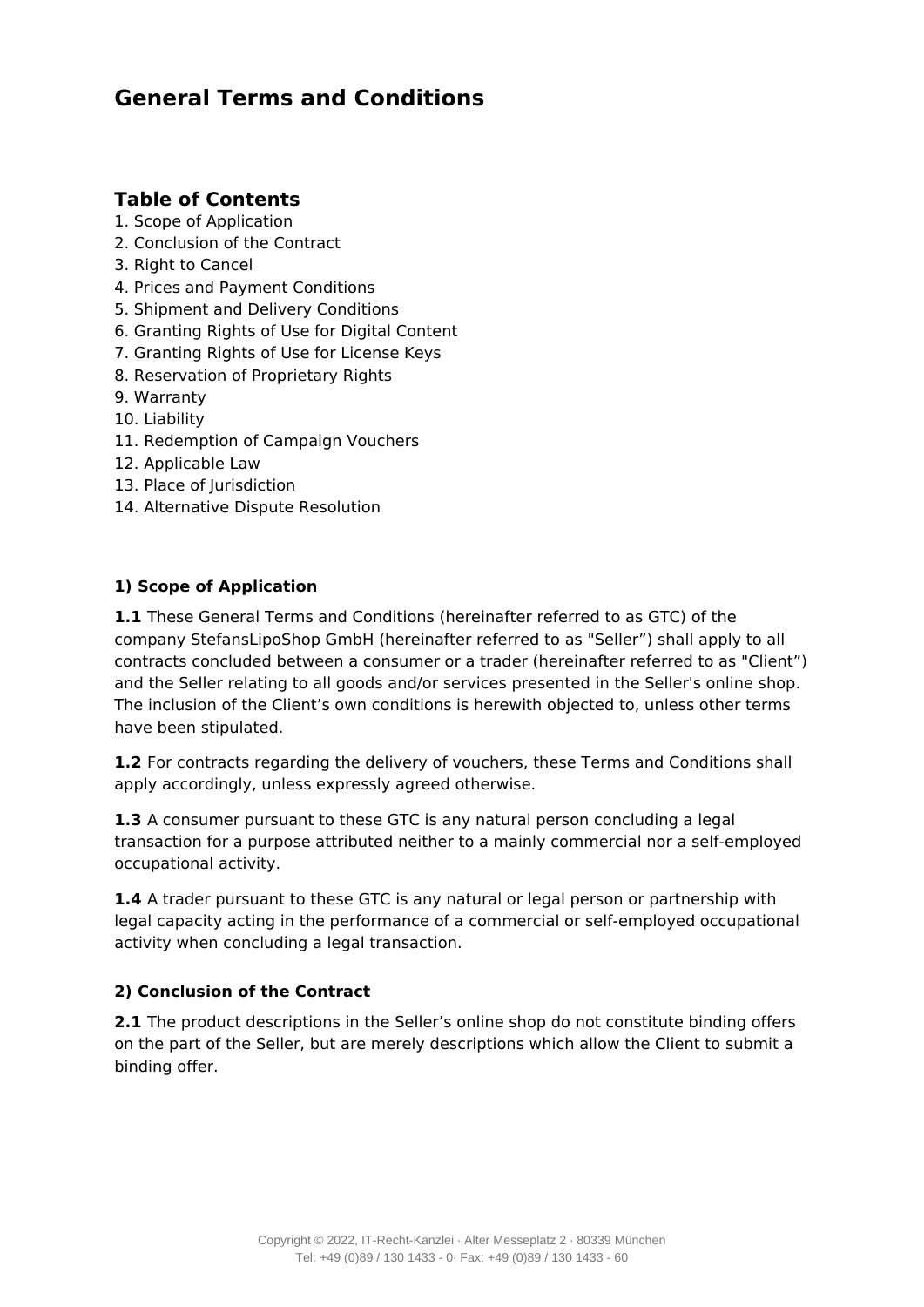# **General Terms and Conditions**

# **Table of Contents**

- 1. Scope of Application
- 2. Conclusion of the Contract
- 3. Right to Cancel
- 4. Prices and Payment Conditions
- 5. Shipment and Delivery Conditions
- 6. Granting Rights of Use for Digital Content
- 7. Granting Rights of Use for License Keys
- 8. Reservation of Proprietary Rights
- 9. Warranty
- 10. Liability
- 11. Redemption of Campaign Vouchers
- 12. Applicable Law
- 13. Place of Jurisdiction
- 14. Alternative Dispute Resolution

# **1) Scope of Application**

**1.1** These General Terms and Conditions (hereinafter referred to as GTC) of the company StefansLipoShop GmbH (hereinafter referred to as "Seller") shall apply to all contracts concluded between a consumer or a trader (hereinafter referred to as "Client") and the Seller relating to all goods and/or services presented in the Seller's online shop. The inclusion of the Client's own conditions is herewith objected to, unless other terms have been stipulated.

**1.2** For contracts regarding the delivery of vouchers, these Terms and Conditions shall apply accordingly, unless expressly agreed otherwise.

**1.3** A consumer pursuant to these GTC is any natural person concluding a legal transaction for a purpose attributed neither to a mainly commercial nor a self-employed occupational activity.

**1.4** A trader pursuant to these GTC is any natural or legal person or partnership with legal capacity acting in the performance of a commercial or self-employed occupational activity when concluding a legal transaction.

# **2) Conclusion of the Contract**

**2.1** The product descriptions in the Seller's online shop do not constitute binding offers on the part of the Seller, but are merely descriptions which allow the Client to submit a binding offer.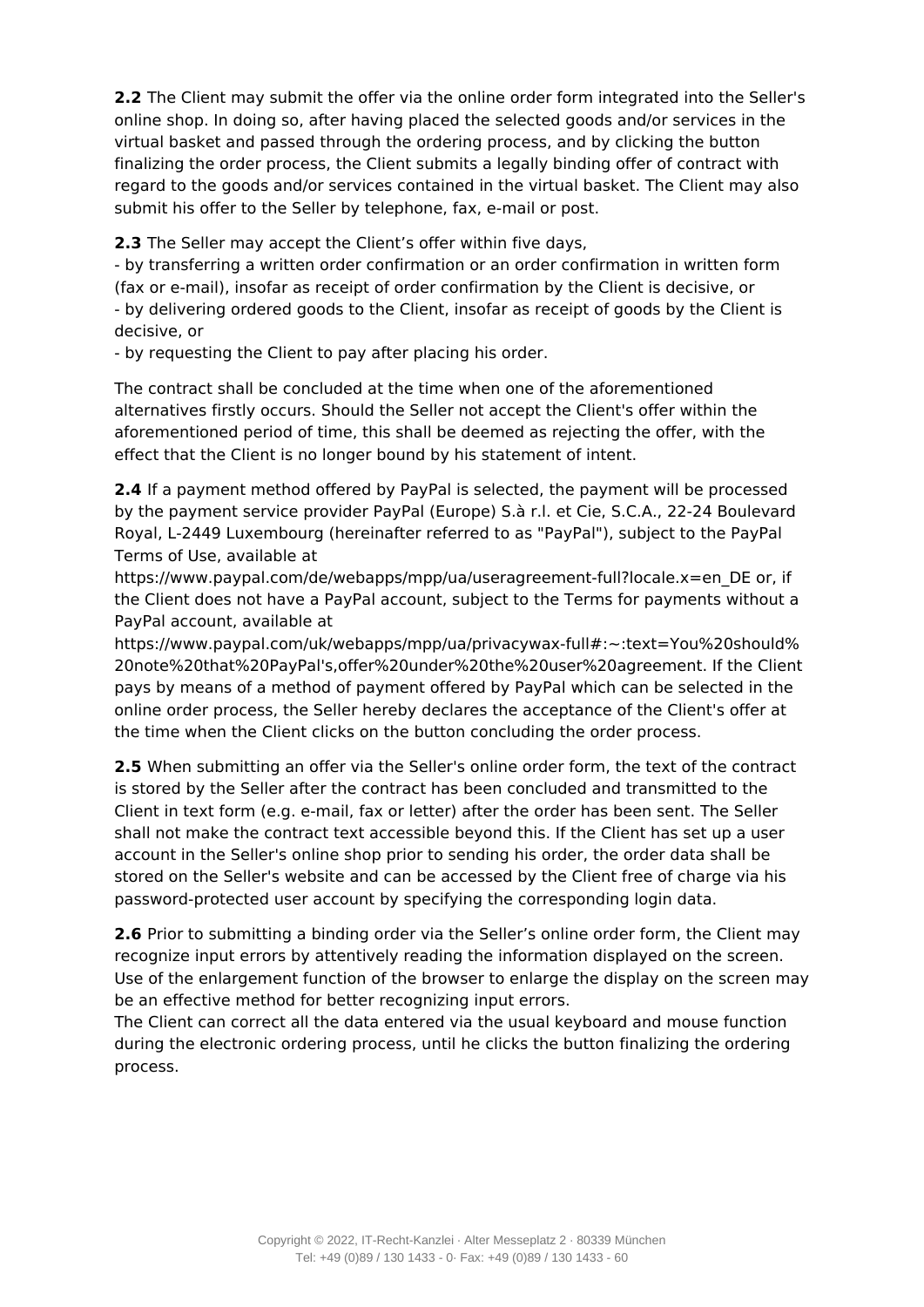**2.2** The Client may submit the offer via the online order form integrated into the Seller's online shop. In doing so, after having placed the selected goods and/or services in the virtual basket and passed through the ordering process, and by clicking the button finalizing the order process, the Client submits a legally binding offer of contract with regard to the goods and/or services contained in the virtual basket. The Client may also submit his offer to the Seller by telephone, fax, e-mail or post.

**2.3** The Seller may accept the Client's offer within five days,

- by transferring a written order confirmation or an order confirmation in written form (fax or e-mail), insofar as receipt of order confirmation by the Client is decisive, or - by delivering ordered goods to the Client, insofar as receipt of goods by the Client is decisive, or

- by requesting the Client to pay after placing his order.

The contract shall be concluded at the time when one of the aforementioned alternatives firstly occurs. Should the Seller not accept the Client's offer within the aforementioned period of time, this shall be deemed as rejecting the offer, with the effect that the Client is no longer bound by his statement of intent.

**2.4** If a payment method offered by PayPal is selected, the payment will be processed by the payment service provider PayPal (Europe) S.à r.l. et Cie, S.C.A., 22-24 Boulevard Royal, L-2449 Luxembourg (hereinafter referred to as "PayPal"), subject to the PayPal Terms of Use, available at

https://www.paypal.com/de/webapps/mpp/ua/useragreement-full?locale.x=en\_DE or, if the Client does not have a PayPal account, subject to the Terms for payments without a PayPal account, available at

https://www.paypal.com/uk/webapps/mpp/ua/privacywax-full#:~:text=You%20should% 20note%20that%20PayPal's,offer%20under%20the%20user%20agreement. If the Client pays by means of a method of payment offered by PayPal which can be selected in the online order process, the Seller hereby declares the acceptance of the Client's offer at the time when the Client clicks on the button concluding the order process.

**2.5** When submitting an offer via the Seller's online order form, the text of the contract is stored by the Seller after the contract has been concluded and transmitted to the Client in text form (e.g. e-mail, fax or letter) after the order has been sent. The Seller shall not make the contract text accessible beyond this. If the Client has set up a user account in the Seller's online shop prior to sending his order, the order data shall be stored on the Seller's website and can be accessed by the Client free of charge via his password-protected user account by specifying the corresponding login data.

**2.6** Prior to submitting a binding order via the Seller's online order form, the Client may recognize input errors by attentively reading the information displayed on the screen. Use of the enlargement function of the browser to enlarge the display on the screen may be an effective method for better recognizing input errors.

The Client can correct all the data entered via the usual keyboard and mouse function during the electronic ordering process, until he clicks the button finalizing the ordering process.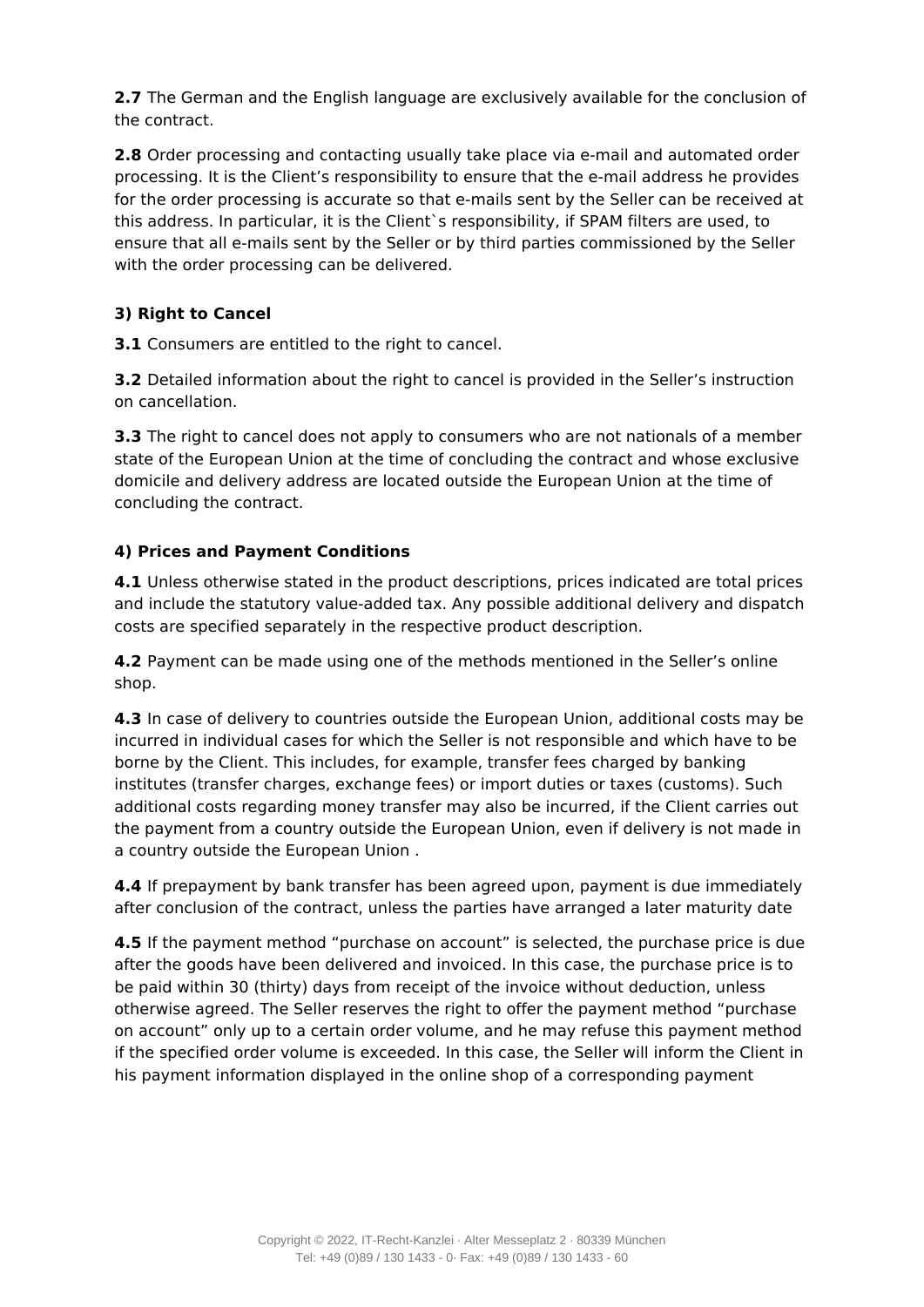**2.7** The German and the English language are exclusively available for the conclusion of the contract.

**2.8** Order processing and contacting usually take place via e-mail and automated order processing. It is the Client's responsibility to ensure that the e-mail address he provides for the order processing is accurate so that e-mails sent by the Seller can be received at this address. In particular, it is the Client`s responsibility, if SPAM filters are used, to ensure that all e-mails sent by the Seller or by third parties commissioned by the Seller with the order processing can be delivered.

# **3) Right to Cancel**

**3.1** Consumers are entitled to the right to cancel.

**3.2** Detailed information about the right to cancel is provided in the Seller's instruction on cancellation.

**3.3** The right to cancel does not apply to consumers who are not nationals of a member state of the European Union at the time of concluding the contract and whose exclusive domicile and delivery address are located outside the European Union at the time of concluding the contract.

# **4) Prices and Payment Conditions**

**4.1** Unless otherwise stated in the product descriptions, prices indicated are total prices and include the statutory value-added tax. Any possible additional delivery and dispatch costs are specified separately in the respective product description.

**4.2** Payment can be made using one of the methods mentioned in the Seller's online shop.

**4.3** In case of delivery to countries outside the European Union, additional costs may be incurred in individual cases for which the Seller is not responsible and which have to be borne by the Client. This includes, for example, transfer fees charged by banking institutes (transfer charges, exchange fees) or import duties or taxes (customs). Such additional costs regarding money transfer may also be incurred, if the Client carries out the payment from a country outside the European Union, even if delivery is not made in a country outside the European Union .

**4.4** If prepayment by bank transfer has been agreed upon, payment is due immediately after conclusion of the contract, unless the parties have arranged a later maturity date

**4.5** If the payment method "purchase on account" is selected, the purchase price is due after the goods have been delivered and invoiced. In this case, the purchase price is to be paid within 30 (thirty) days from receipt of the invoice without deduction, unless otherwise agreed. The Seller reserves the right to offer the payment method "purchase on account" only up to a certain order volume, and he may refuse this payment method if the specified order volume is exceeded. In this case, the Seller will inform the Client in his payment information displayed in the online shop of a corresponding payment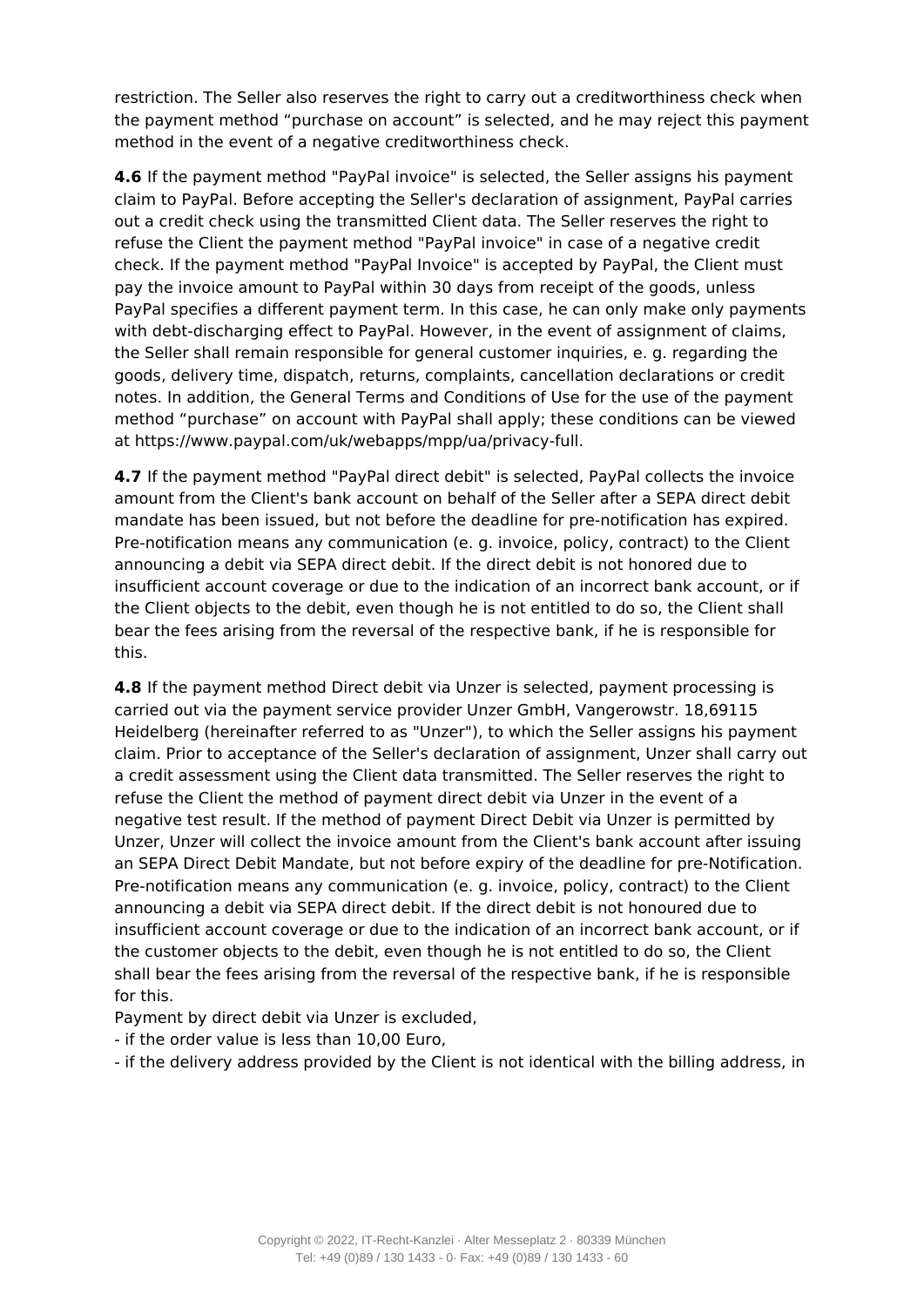restriction. The Seller also reserves the right to carry out a creditworthiness check when the payment method "purchase on account" is selected, and he may reject this payment method in the event of a negative creditworthiness check.

**4.6** If the payment method "PayPal invoice" is selected, the Seller assigns his payment claim to PayPal. Before accepting the Seller's declaration of assignment, PayPal carries out a credit check using the transmitted Client data. The Seller reserves the right to refuse the Client the payment method "PayPal invoice" in case of a negative credit check. If the payment method "PayPal Invoice" is accepted by PayPal, the Client must pay the invoice amount to PayPal within 30 days from receipt of the goods, unless PayPal specifies a different payment term. In this case, he can only make only payments with debt-discharging effect to PayPal. However, in the event of assignment of claims, the Seller shall remain responsible for general customer inquiries, e. g. regarding the goods, delivery time, dispatch, returns, complaints, cancellation declarations or credit notes. In addition, the General Terms and Conditions of Use for the use of the payment method "purchase" on account with PayPal shall apply; these conditions can be viewed at https://www.paypal.com/uk/webapps/mpp/ua/privacy-full.

**4.7** If the payment method "PayPal direct debit" is selected, PayPal collects the invoice amount from the Client's bank account on behalf of the Seller after a SEPA direct debit mandate has been issued, but not before the deadline for pre-notification has expired. Pre-notification means any communication (e. g. invoice, policy, contract) to the Client announcing a debit via SEPA direct debit. If the direct debit is not honored due to insufficient account coverage or due to the indication of an incorrect bank account, or if the Client objects to the debit, even though he is not entitled to do so, the Client shall bear the fees arising from the reversal of the respective bank, if he is responsible for this.

**4.8** If the payment method Direct debit via Unzer is selected, payment processing is carried out via the payment service provider Unzer GmbH, Vangerowstr. 18,69115 Heidelberg (hereinafter referred to as "Unzer"), to which the Seller assigns his payment claim. Prior to acceptance of the Seller's declaration of assignment, Unzer shall carry out a credit assessment using the Client data transmitted. The Seller reserves the right to refuse the Client the method of payment direct debit via Unzer in the event of a negative test result. If the method of payment Direct Debit via Unzer is permitted by Unzer, Unzer will collect the invoice amount from the Client's bank account after issuing an SEPA Direct Debit Mandate, but not before expiry of the deadline for pre-Notification. Pre-notification means any communication (e. g. invoice, policy, contract) to the Client announcing a debit via SEPA direct debit. If the direct debit is not honoured due to insufficient account coverage or due to the indication of an incorrect bank account, or if the customer objects to the debit, even though he is not entitled to do so, the Client shall bear the fees arising from the reversal of the respective bank, if he is responsible for this.

Payment by direct debit via Unzer is excluded,

- if the order value is less than 10,00 Euro,

- if the delivery address provided by the Client is not identical with the billing address, in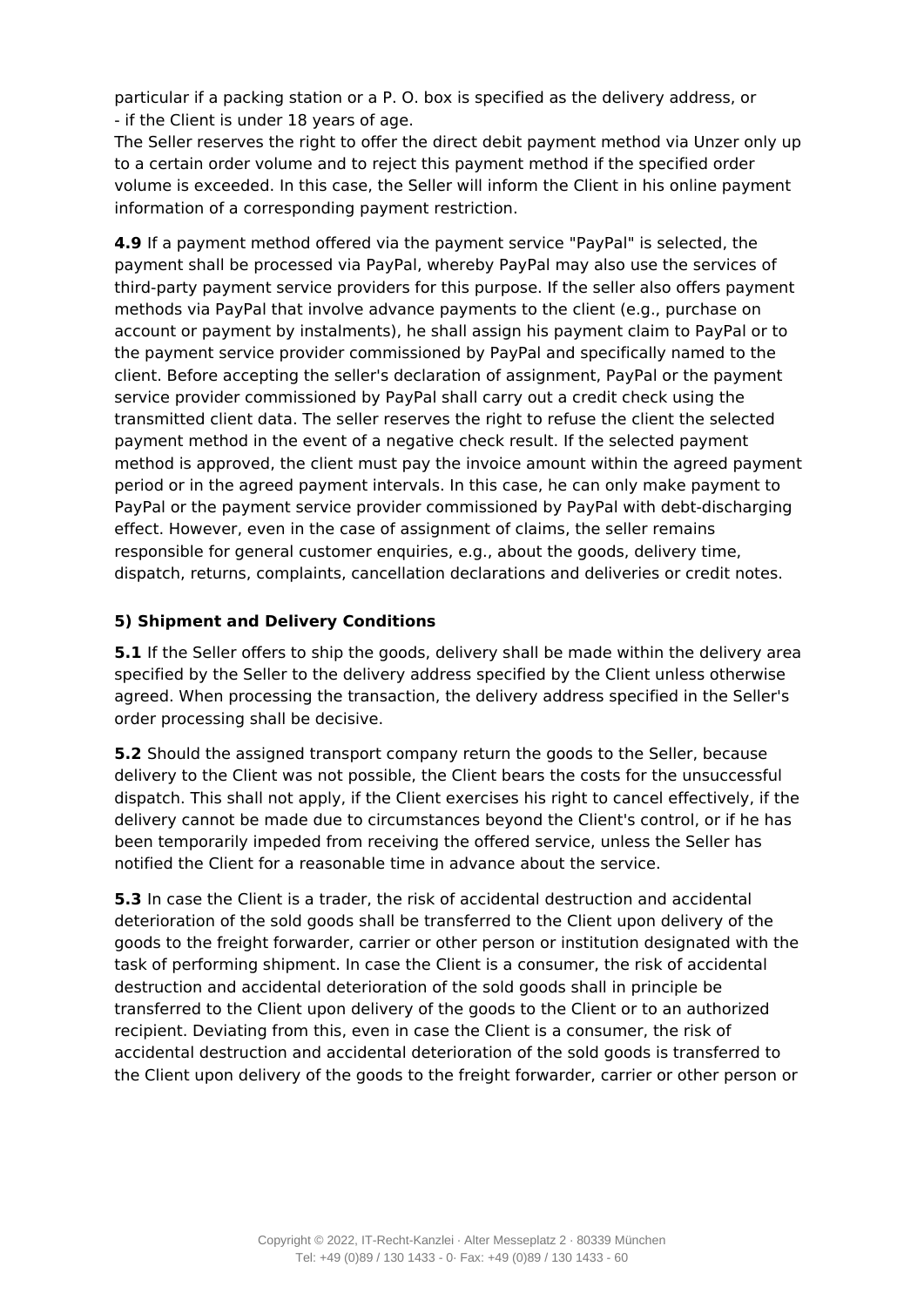particular if a packing station or a P. O. box is specified as the delivery address, or - if the Client is under 18 years of age.

The Seller reserves the right to offer the direct debit payment method via Unzer only up to a certain order volume and to reject this payment method if the specified order volume is exceeded. In this case, the Seller will inform the Client in his online payment information of a corresponding payment restriction.

**4.9** If a payment method offered via the payment service "PayPal" is selected, the payment shall be processed via PayPal, whereby PayPal may also use the services of third-party payment service providers for this purpose. If the seller also offers payment methods via PayPal that involve advance payments to the client (e.g., purchase on account or payment by instalments), he shall assign his payment claim to PayPal or to the payment service provider commissioned by PayPal and specifically named to the client. Before accepting the seller's declaration of assignment, PayPal or the payment service provider commissioned by PayPal shall carry out a credit check using the transmitted client data. The seller reserves the right to refuse the client the selected payment method in the event of a negative check result. If the selected payment method is approved, the client must pay the invoice amount within the agreed payment period or in the agreed payment intervals. In this case, he can only make payment to PayPal or the payment service provider commissioned by PayPal with debt-discharging effect. However, even in the case of assignment of claims, the seller remains responsible for general customer enquiries, e.g., about the goods, delivery time, dispatch, returns, complaints, cancellation declarations and deliveries or credit notes.

## **5) Shipment and Delivery Conditions**

**5.1** If the Seller offers to ship the goods, delivery shall be made within the delivery area specified by the Seller to the delivery address specified by the Client unless otherwise agreed. When processing the transaction, the delivery address specified in the Seller's order processing shall be decisive.

**5.2** Should the assigned transport company return the goods to the Seller, because delivery to the Client was not possible, the Client bears the costs for the unsuccessful dispatch. This shall not apply, if the Client exercises his right to cancel effectively, if the delivery cannot be made due to circumstances beyond the Client's control, or if he has been temporarily impeded from receiving the offered service, unless the Seller has notified the Client for a reasonable time in advance about the service.

**5.3** In case the Client is a trader, the risk of accidental destruction and accidental deterioration of the sold goods shall be transferred to the Client upon delivery of the goods to the freight forwarder, carrier or other person or institution designated with the task of performing shipment. In case the Client is a consumer, the risk of accidental destruction and accidental deterioration of the sold goods shall in principle be transferred to the Client upon delivery of the goods to the Client or to an authorized recipient. Deviating from this, even in case the Client is a consumer, the risk of accidental destruction and accidental deterioration of the sold goods is transferred to the Client upon delivery of the goods to the freight forwarder, carrier or other person or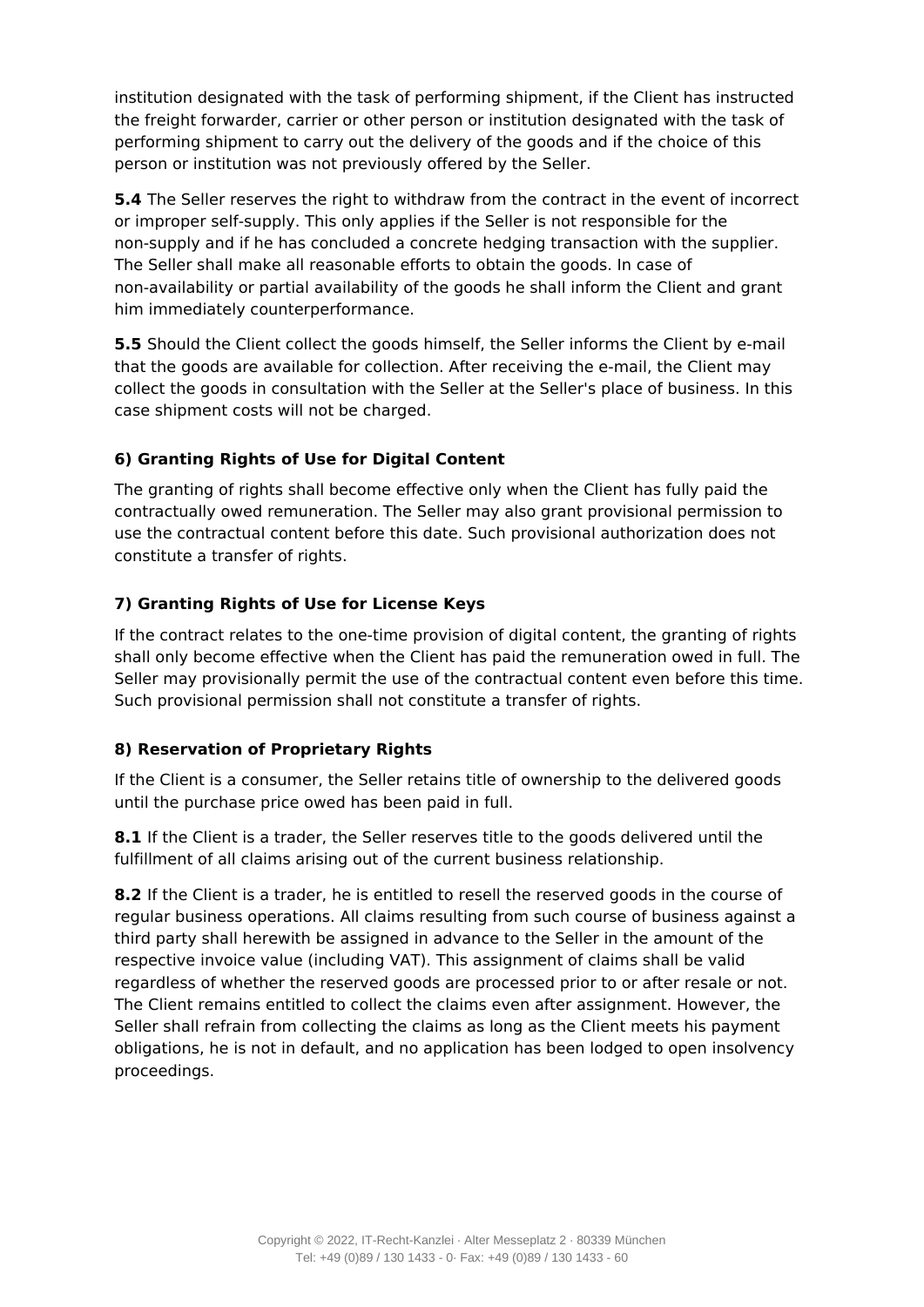institution designated with the task of performing shipment, if the Client has instructed the freight forwarder, carrier or other person or institution designated with the task of performing shipment to carry out the delivery of the goods and if the choice of this person or institution was not previously offered by the Seller.

**5.4** The Seller reserves the right to withdraw from the contract in the event of incorrect or improper self-supply. This only applies if the Seller is not responsible for the non-supply and if he has concluded a concrete hedging transaction with the supplier. The Seller shall make all reasonable efforts to obtain the goods. In case of non-availability or partial availability of the goods he shall inform the Client and grant him immediately counterperformance.

**5.5** Should the Client collect the goods himself, the Seller informs the Client by e-mail that the goods are available for collection. After receiving the e-mail, the Client may collect the goods in consultation with the Seller at the Seller's place of business. In this case shipment costs will not be charged.

# **6) Granting Rights of Use for Digital Content**

The granting of rights shall become effective only when the Client has fully paid the contractually owed remuneration. The Seller may also grant provisional permission to use the contractual content before this date. Such provisional authorization does not constitute a transfer of rights.

# **7) Granting Rights of Use for License Keys**

If the contract relates to the one-time provision of digital content, the granting of rights shall only become effective when the Client has paid the remuneration owed in full. The Seller may provisionally permit the use of the contractual content even before this time. Such provisional permission shall not constitute a transfer of rights.

# **8) Reservation of Proprietary Rights**

If the Client is a consumer, the Seller retains title of ownership to the delivered goods until the purchase price owed has been paid in full.

**8.1** If the Client is a trader, the Seller reserves title to the goods delivered until the fulfillment of all claims arising out of the current business relationship.

**8.2** If the Client is a trader, he is entitled to resell the reserved goods in the course of regular business operations. All claims resulting from such course of business against a third party shall herewith be assigned in advance to the Seller in the amount of the respective invoice value (including VAT). This assignment of claims shall be valid regardless of whether the reserved goods are processed prior to or after resale or not. The Client remains entitled to collect the claims even after assignment. However, the Seller shall refrain from collecting the claims as long as the Client meets his payment obligations, he is not in default, and no application has been lodged to open insolvency proceedings.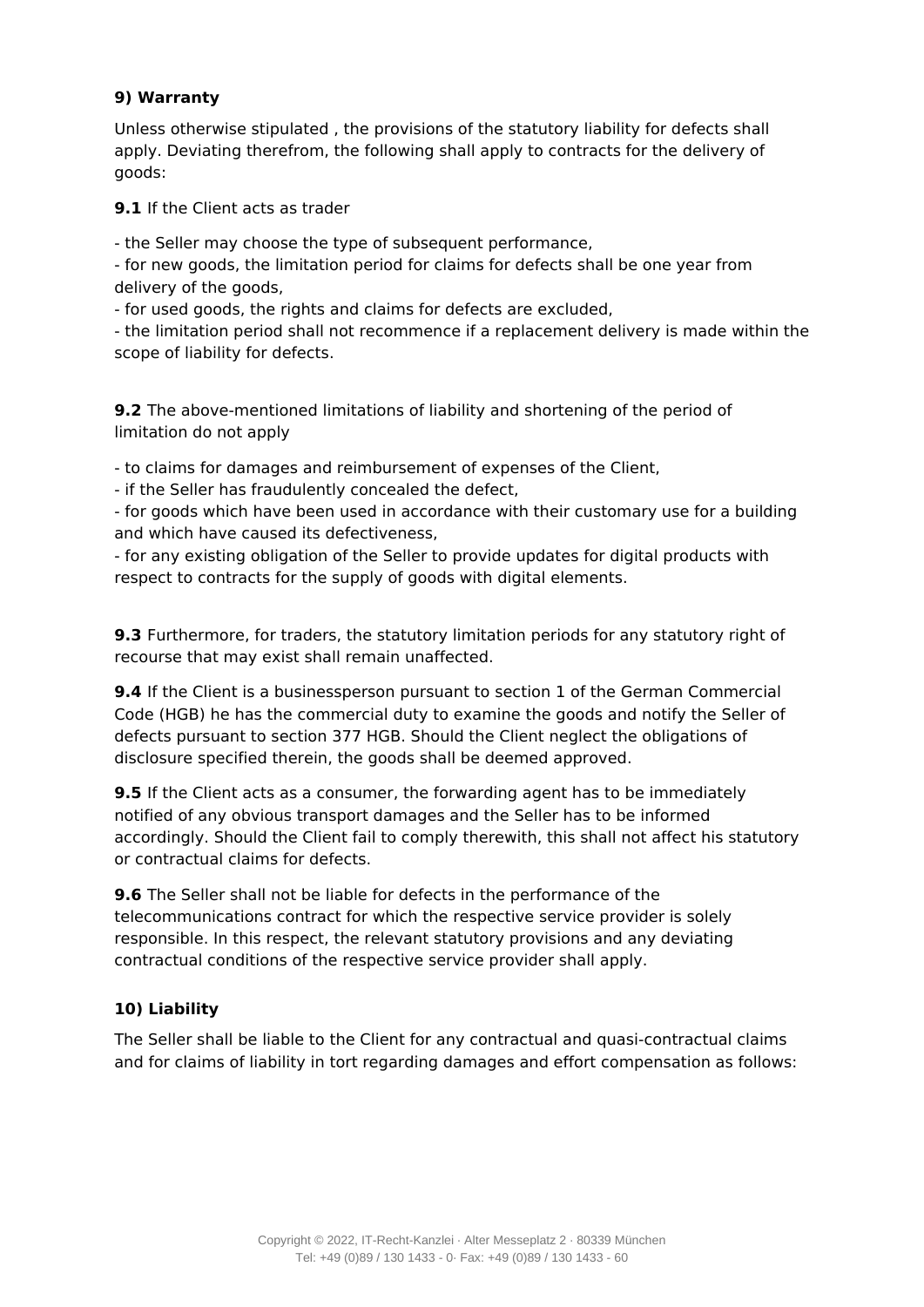#### **9) Warranty**

Unless otherwise stipulated , the provisions of the statutory liability for defects shall apply. Deviating therefrom, the following shall apply to contracts for the delivery of goods:

**9.1** If the Client acts as trader

- the Seller may choose the type of subsequent performance,

- for new goods, the limitation period for claims for defects shall be one year from delivery of the goods,

- for used goods, the rights and claims for defects are excluded,

- the limitation period shall not recommence if a replacement delivery is made within the scope of liability for defects.

**9.2** The above-mentioned limitations of liability and shortening of the period of limitation do not apply

- to claims for damages and reimbursement of expenses of the Client,

- if the Seller has fraudulently concealed the defect,

- for goods which have been used in accordance with their customary use for a building and which have caused its defectiveness,

- for any existing obligation of the Seller to provide updates for digital products with respect to contracts for the supply of goods with digital elements.

**9.3** Furthermore, for traders, the statutory limitation periods for any statutory right of recourse that may exist shall remain unaffected.

**9.4** If the Client is a businessperson pursuant to section 1 of the German Commercial Code (HGB) he has the commercial duty to examine the goods and notify the Seller of defects pursuant to section 377 HGB. Should the Client neglect the obligations of disclosure specified therein, the goods shall be deemed approved.

**9.5** If the Client acts as a consumer, the forwarding agent has to be immediately notified of any obvious transport damages and the Seller has to be informed accordingly. Should the Client fail to comply therewith, this shall not affect his statutory or contractual claims for defects.

**9.6** The Seller shall not be liable for defects in the performance of the telecommunications contract for which the respective service provider is solely responsible. In this respect, the relevant statutory provisions and any deviating contractual conditions of the respective service provider shall apply.

# **10) Liability**

The Seller shall be liable to the Client for any contractual and quasi-contractual claims and for claims of liability in tort regarding damages and effort compensation as follows: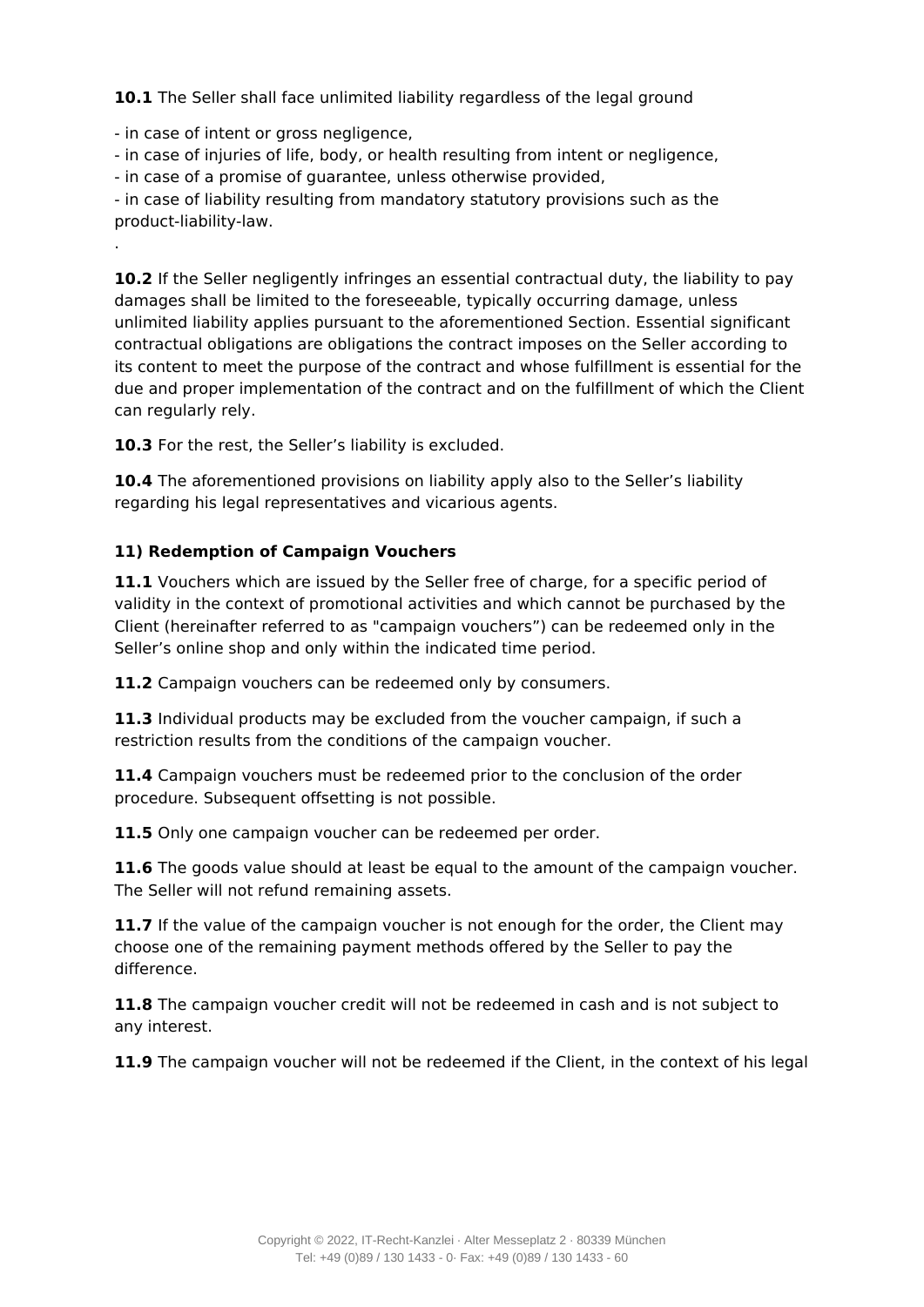10.1 The Seller shall face unlimited liability regardless of the legal ground

- in case of intent or gross negligence,

.

- in case of injuries of life, body, or health resulting from intent or negligence,

- in case of a promise of guarantee, unless otherwise provided,

- in case of liability resulting from mandatory statutory provisions such as the product-liability-law.

**10.2** If the Seller negligently infringes an essential contractual duty, the liability to pay damages shall be limited to the foreseeable, typically occurring damage, unless unlimited liability applies pursuant to the aforementioned Section. Essential significant contractual obligations are obligations the contract imposes on the Seller according to its content to meet the purpose of the contract and whose fulfillment is essential for the due and proper implementation of the contract and on the fulfillment of which the Client can regularly rely.

10.3 For the rest, the Seller's liability is excluded.

**10.4** The aforementioned provisions on liability apply also to the Seller's liability regarding his legal representatives and vicarious agents.

# **11) Redemption of Campaign Vouchers**

11.1 Vouchers which are issued by the Seller free of charge, for a specific period of validity in the context of promotional activities and which cannot be purchased by the Client (hereinafter referred to as "campaign vouchers") can be redeemed only in the Seller's online shop and only within the indicated time period.

**11.2** Campaign vouchers can be redeemed only by consumers.

**11.3** Individual products may be excluded from the voucher campaign, if such a restriction results from the conditions of the campaign voucher.

**11.4** Campaign vouchers must be redeemed prior to the conclusion of the order procedure. Subsequent offsetting is not possible.

**11.5** Only one campaign voucher can be redeemed per order.

**11.6** The goods value should at least be equal to the amount of the campaign voucher. The Seller will not refund remaining assets.

11.7 If the value of the campaign voucher is not enough for the order, the Client may choose one of the remaining payment methods offered by the Seller to pay the difference.

**11.8** The campaign voucher credit will not be redeemed in cash and is not subject to any interest.

**11.9** The campaign voucher will not be redeemed if the Client, in the context of his legal